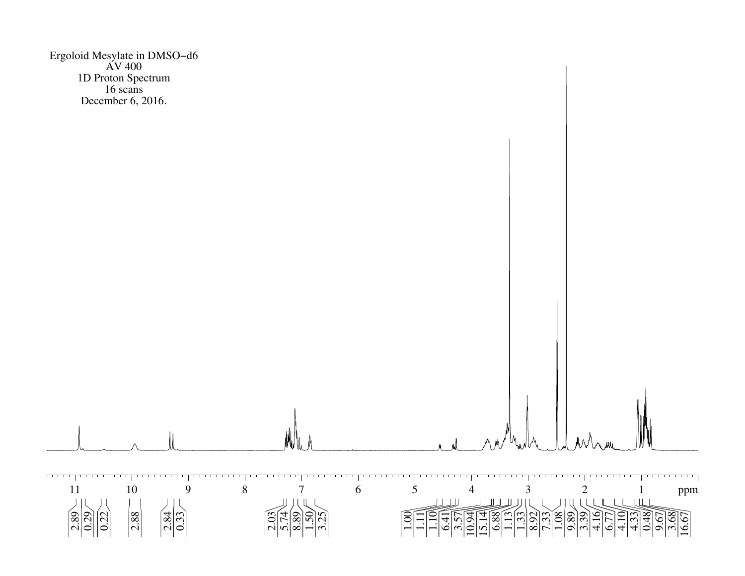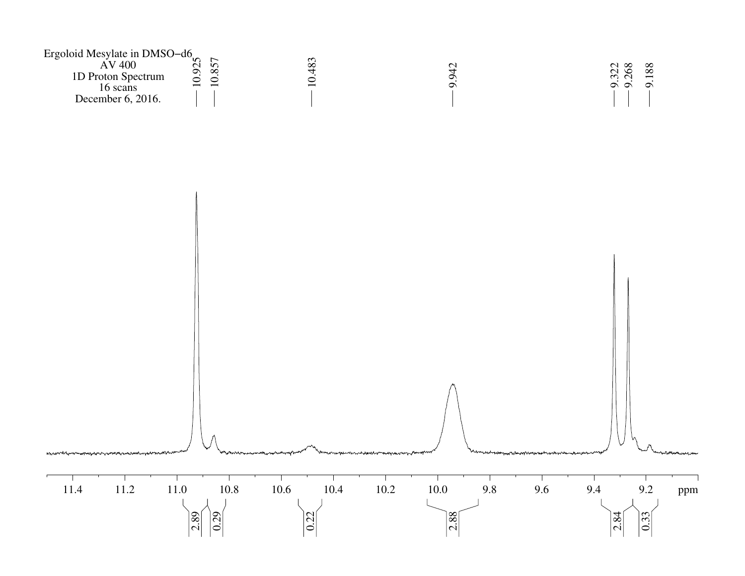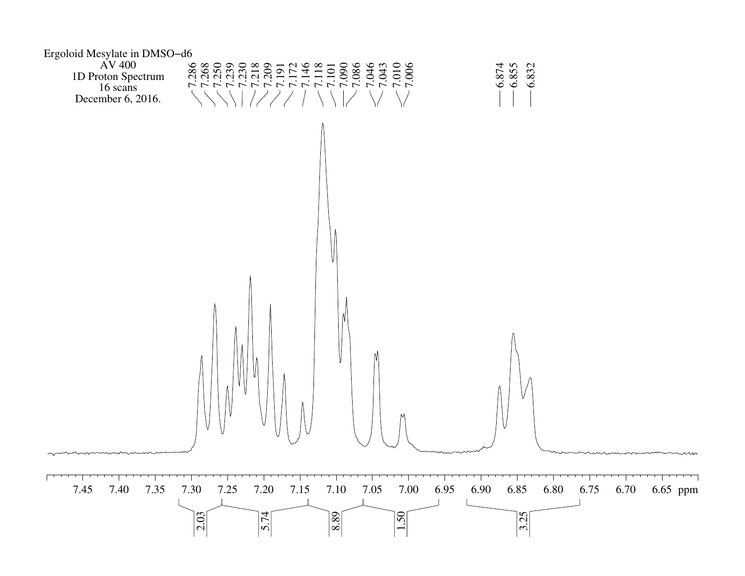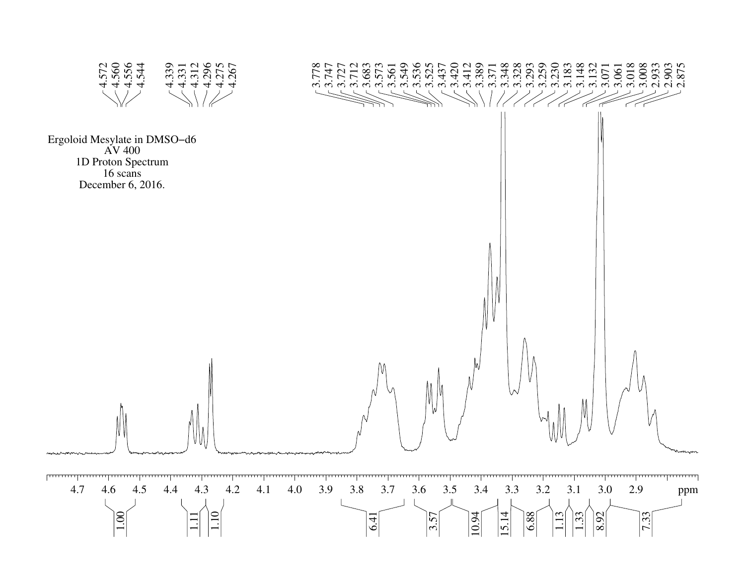